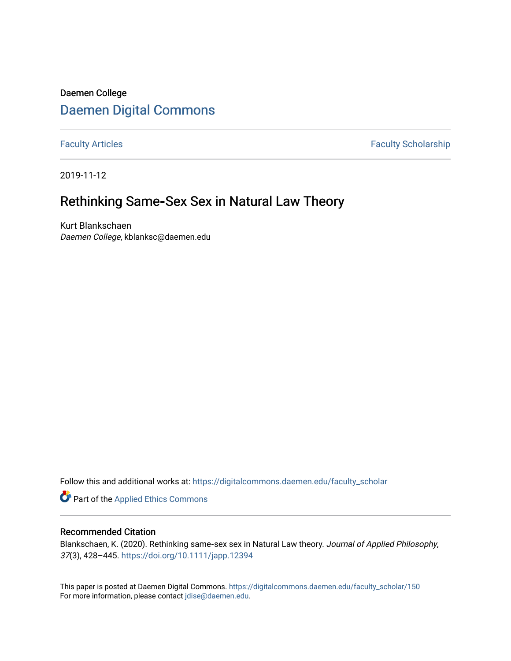# Daemen College [Daemen Digital Commons](https://digitalcommons.daemen.edu/)

[Faculty Articles](https://digitalcommons.daemen.edu/faculty_scholar) **Faculty Articles** 

2019-11-12

# Rethinking Same**‐**Sex Sex in Natural Law Theory

Kurt Blankschaen Daemen College, kblanksc@daemen.edu

Follow this and additional works at: [https://digitalcommons.daemen.edu/faculty\\_scholar](https://digitalcommons.daemen.edu/faculty_scholar?utm_source=digitalcommons.daemen.edu%2Ffaculty_scholar%2F150&utm_medium=PDF&utm_campaign=PDFCoverPages) 

Part of the [Applied Ethics Commons](http://network.bepress.com/hgg/discipline/1392?utm_source=digitalcommons.daemen.edu%2Ffaculty_scholar%2F150&utm_medium=PDF&utm_campaign=PDFCoverPages) 

# Recommended Citation

Blankschaen, K. (2020). Rethinking same‐sex sex in Natural Law theory. Journal of Applied Philosophy, 37(3), 428–445. <https://doi.org/10.1111/japp.12394>

This paper is posted at Daemen Digital Commons. [https://digitalcommons.daemen.edu/faculty\\_scholar/150](https://digitalcommons.daemen.edu/faculty_scholar/150)  For more information, please contact [jdise@daemen.edu](mailto:jdise@daemen.edu).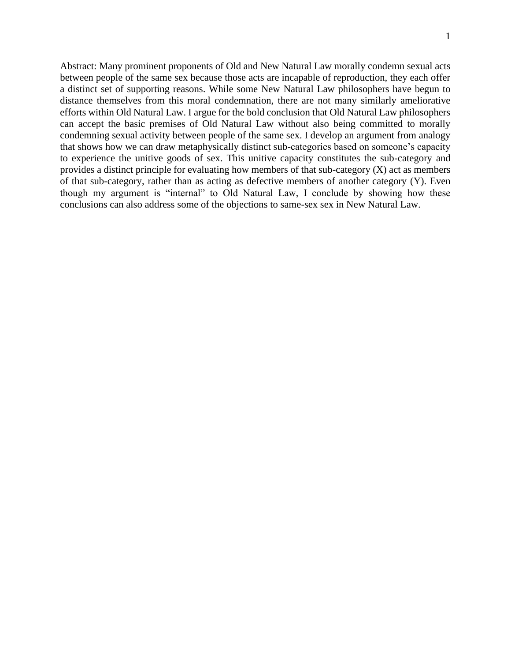Abstract: Many prominent proponents of Old and New Natural Law morally condemn sexual acts between people of the same sex because those acts are incapable of reproduction, they each offer a distinct set of supporting reasons. While some New Natural Law philosophers have begun to distance themselves from this moral condemnation, there are not many similarly ameliorative efforts within Old Natural Law. I argue for the bold conclusion that Old Natural Law philosophers can accept the basic premises of Old Natural Law without also being committed to morally condemning sexual activity between people of the same sex. I develop an argument from analogy that shows how we can draw metaphysically distinct sub-categories based on someone's capacity to experience the unitive goods of sex. This unitive capacity constitutes the sub-category and provides a distinct principle for evaluating how members of that sub-category (X) act as members of that sub-category, rather than as acting as defective members of another category (Y). Even though my argument is "internal" to Old Natural Law, I conclude by showing how these conclusions can also address some of the objections to same-sex sex in New Natural Law.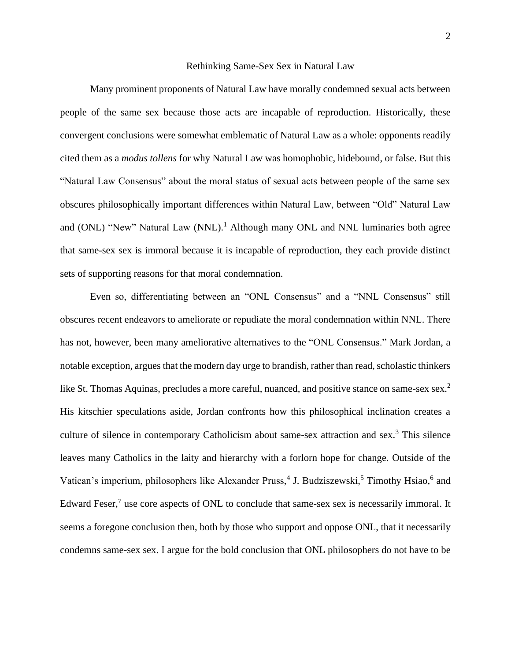#### Rethinking Same-Sex Sex in Natural Law

Many prominent proponents of Natural Law have morally condemned sexual acts between people of the same sex because those acts are incapable of reproduction. Historically, these convergent conclusions were somewhat emblematic of Natural Law as a whole: opponents readily cited them as a *modus tollens* for why Natural Law was homophobic, hidebound, or false. But this "Natural Law Consensus" about the moral status of sexual acts between people of the same sex obscures philosophically important differences within Natural Law, between "Old" Natural Law and (ONL) "New" Natural Law (NNL).<sup>1</sup> Although many ONL and NNL luminaries both agree that same-sex sex is immoral because it is incapable of reproduction, they each provide distinct sets of supporting reasons for that moral condemnation.

Even so, differentiating between an "ONL Consensus" and a "NNL Consensus" still obscures recent endeavors to ameliorate or repudiate the moral condemnation within NNL. There has not, however, been many ameliorative alternatives to the "ONL Consensus." Mark Jordan, a notable exception, argues that the modern day urge to brandish, rather than read, scholastic thinkers like St. Thomas Aquinas, precludes a more careful, nuanced, and positive stance on same-sex sex.<sup>2</sup> His kitschier speculations aside, Jordan confronts how this philosophical inclination creates a culture of silence in contemporary Catholicism about same-sex attraction and sex.<sup>3</sup> This silence leaves many Catholics in the laity and hierarchy with a forlorn hope for change. Outside of the Vatican's imperium, philosophers like Alexander Pruss,<sup>4</sup> J. Budziszewski,<sup>5</sup> Timothy Hsiao,<sup>6</sup> and Edward Feser, $7$  use core aspects of ONL to conclude that same-sex sex is necessarily immoral. It seems a foregone conclusion then, both by those who support and oppose ONL, that it necessarily condemns same-sex sex. I argue for the bold conclusion that ONL philosophers do not have to be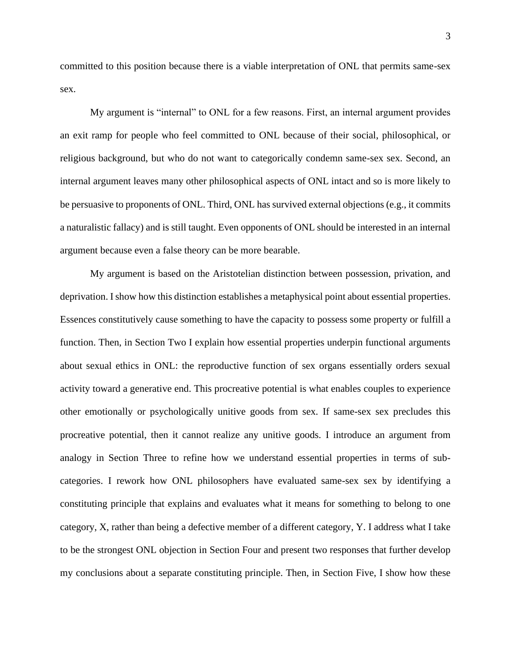committed to this position because there is a viable interpretation of ONL that permits same-sex sex.

My argument is "internal" to ONL for a few reasons. First, an internal argument provides an exit ramp for people who feel committed to ONL because of their social, philosophical, or religious background, but who do not want to categorically condemn same-sex sex. Second, an internal argument leaves many other philosophical aspects of ONL intact and so is more likely to be persuasive to proponents of ONL. Third, ONL has survived external objections (e.g., it commits a naturalistic fallacy) and is still taught. Even opponents of ONL should be interested in an internal argument because even a false theory can be more bearable.

My argument is based on the Aristotelian distinction between possession, privation, and deprivation. I show how this distinction establishes a metaphysical point about essential properties. Essences constitutively cause something to have the capacity to possess some property or fulfill a function. Then, in Section Two I explain how essential properties underpin functional arguments about sexual ethics in ONL: the reproductive function of sex organs essentially orders sexual activity toward a generative end. This procreative potential is what enables couples to experience other emotionally or psychologically unitive goods from sex. If same-sex sex precludes this procreative potential, then it cannot realize any unitive goods. I introduce an argument from analogy in Section Three to refine how we understand essential properties in terms of subcategories. I rework how ONL philosophers have evaluated same-sex sex by identifying a constituting principle that explains and evaluates what it means for something to belong to one category, X, rather than being a defective member of a different category, Y. I address what I take to be the strongest ONL objection in Section Four and present two responses that further develop my conclusions about a separate constituting principle. Then, in Section Five, I show how these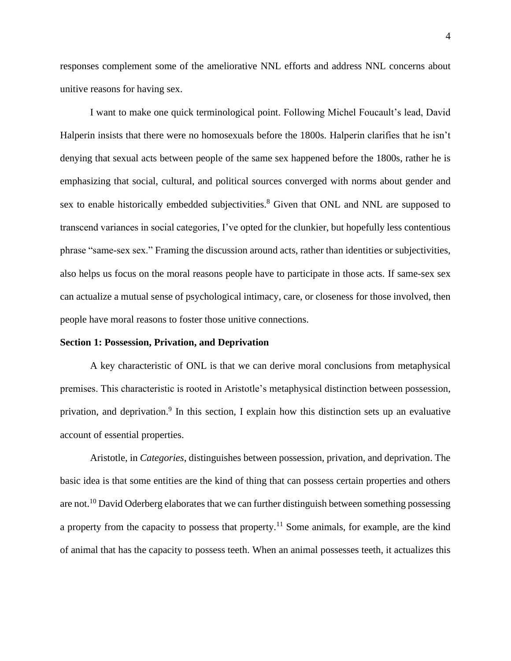responses complement some of the ameliorative NNL efforts and address NNL concerns about unitive reasons for having sex.

I want to make one quick terminological point. Following Michel Foucault's lead, David Halperin insists that there were no homosexuals before the 1800s. Halperin clarifies that he isn't denying that sexual acts between people of the same sex happened before the 1800s, rather he is emphasizing that social, cultural, and political sources converged with norms about gender and sex to enable historically embedded subjectivities.<sup>8</sup> Given that ONL and NNL are supposed to transcend variances in social categories, I've opted for the clunkier, but hopefully less contentious phrase "same-sex sex." Framing the discussion around acts, rather than identities or subjectivities, also helps us focus on the moral reasons people have to participate in those acts. If same-sex sex can actualize a mutual sense of psychological intimacy, care, or closeness for those involved, then people have moral reasons to foster those unitive connections.

#### **Section 1: Possession, Privation, and Deprivation**

A key characteristic of ONL is that we can derive moral conclusions from metaphysical premises. This characteristic is rooted in Aristotle's metaphysical distinction between possession, privation, and deprivation.<sup>9</sup> In this section, I explain how this distinction sets up an evaluative account of essential properties.

Aristotle, in *Categories*, distinguishes between possession, privation, and deprivation. The basic idea is that some entities are the kind of thing that can possess certain properties and others are not.<sup>10</sup> David Oderberg elaborates that we can further distinguish between something possessing a property from the capacity to possess that property.<sup>11</sup> Some animals, for example, are the kind of animal that has the capacity to possess teeth. When an animal possesses teeth, it actualizes this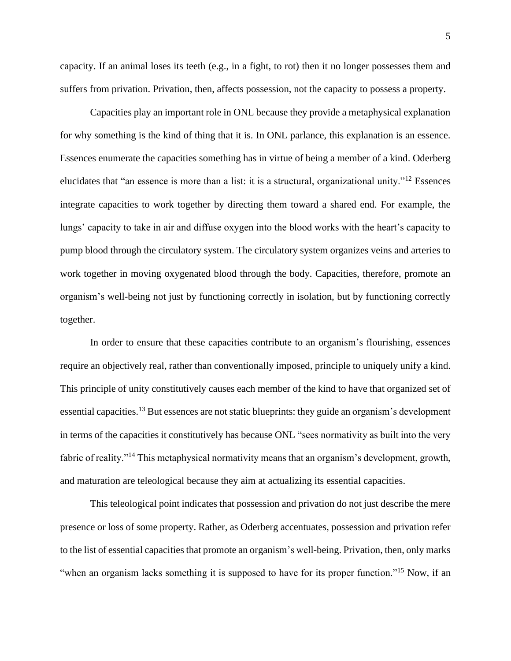capacity. If an animal loses its teeth (e.g., in a fight, to rot) then it no longer possesses them and suffers from privation. Privation, then, affects possession, not the capacity to possess a property.

Capacities play an important role in ONL because they provide a metaphysical explanation for why something is the kind of thing that it is. In ONL parlance, this explanation is an essence. Essences enumerate the capacities something has in virtue of being a member of a kind. Oderberg elucidates that "an essence is more than a list: it is a structural, organizational unity."<sup>12</sup> Essences integrate capacities to work together by directing them toward a shared end. For example, the lungs' capacity to take in air and diffuse oxygen into the blood works with the heart's capacity to pump blood through the circulatory system. The circulatory system organizes veins and arteries to work together in moving oxygenated blood through the body. Capacities, therefore, promote an organism's well-being not just by functioning correctly in isolation, but by functioning correctly together.

In order to ensure that these capacities contribute to an organism's flourishing, essences require an objectively real, rather than conventionally imposed, principle to uniquely unify a kind. This principle of unity constitutively causes each member of the kind to have that organized set of essential capacities.<sup>13</sup> But essences are not static blueprints: they guide an organism's development in terms of the capacities it constitutively has because ONL "sees normativity as built into the very fabric of reality."<sup>14</sup> This metaphysical normativity means that an organism's development, growth, and maturation are teleological because they aim at actualizing its essential capacities.

This teleological point indicates that possession and privation do not just describe the mere presence or loss of some property. Rather, as Oderberg accentuates, possession and privation refer to the list of essential capacities that promote an organism's well-being. Privation, then, only marks "when an organism lacks something it is supposed to have for its proper function."<sup>15</sup> Now, if an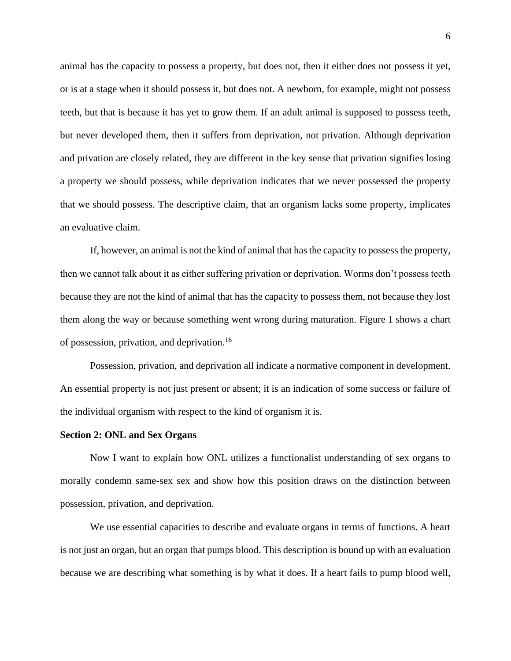animal has the capacity to possess a property, but does not, then it either does not possess it yet, or is at a stage when it should possess it, but does not. A newborn, for example, might not possess teeth, but that is because it has yet to grow them. If an adult animal is supposed to possess teeth, but never developed them, then it suffers from deprivation, not privation. Although deprivation and privation are closely related, they are different in the key sense that privation signifies losing a property we should possess, while deprivation indicates that we never possessed the property that we should possess. The descriptive claim, that an organism lacks some property, implicates an evaluative claim.

If, however, an animal is not the kind of animal that has the capacity to possess the property, then we cannot talk about it as either suffering privation or deprivation. Worms don't possess teeth because they are not the kind of animal that has the capacity to possess them, not because they lost them along the way or because something went wrong during maturation. Figure 1 shows a chart of possession, privation, and deprivation. 16

Possession, privation, and deprivation all indicate a normative component in development. An essential property is not just present or absent; it is an indication of some success or failure of the individual organism with respect to the kind of organism it is.

#### **Section 2: ONL and Sex Organs**

Now I want to explain how ONL utilizes a functionalist understanding of sex organs to morally condemn same-sex sex and show how this position draws on the distinction between possession, privation, and deprivation.

We use essential capacities to describe and evaluate organs in terms of functions. A heart is not just an organ, but an organ that pumps blood. This description is bound up with an evaluation because we are describing what something is by what it does. If a heart fails to pump blood well,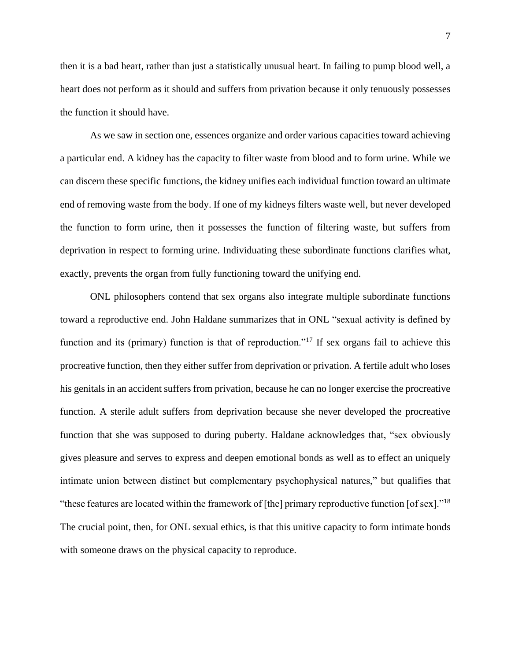then it is a bad heart, rather than just a statistically unusual heart. In failing to pump blood well, a heart does not perform as it should and suffers from privation because it only tenuously possesses the function it should have.

As we saw in section one, essences organize and order various capacities toward achieving a particular end. A kidney has the capacity to filter waste from blood and to form urine. While we can discern these specific functions, the kidney unifies each individual function toward an ultimate end of removing waste from the body. If one of my kidneys filters waste well, but never developed the function to form urine, then it possesses the function of filtering waste, but suffers from deprivation in respect to forming urine. Individuating these subordinate functions clarifies what, exactly, prevents the organ from fully functioning toward the unifying end.

ONL philosophers contend that sex organs also integrate multiple subordinate functions toward a reproductive end. John Haldane summarizes that in ONL "sexual activity is defined by function and its (primary) function is that of reproduction."<sup>17</sup> If sex organs fail to achieve this procreative function, then they either suffer from deprivation or privation. A fertile adult who loses his genitals in an accident suffers from privation, because he can no longer exercise the procreative function. A sterile adult suffers from deprivation because she never developed the procreative function that she was supposed to during puberty. Haldane acknowledges that, "sex obviously gives pleasure and serves to express and deepen emotional bonds as well as to effect an uniquely intimate union between distinct but complementary psychophysical natures," but qualifies that "these features are located within the framework of [the] primary reproductive function [of sex]."<sup>18</sup> The crucial point, then, for ONL sexual ethics, is that this unitive capacity to form intimate bonds with someone draws on the physical capacity to reproduce.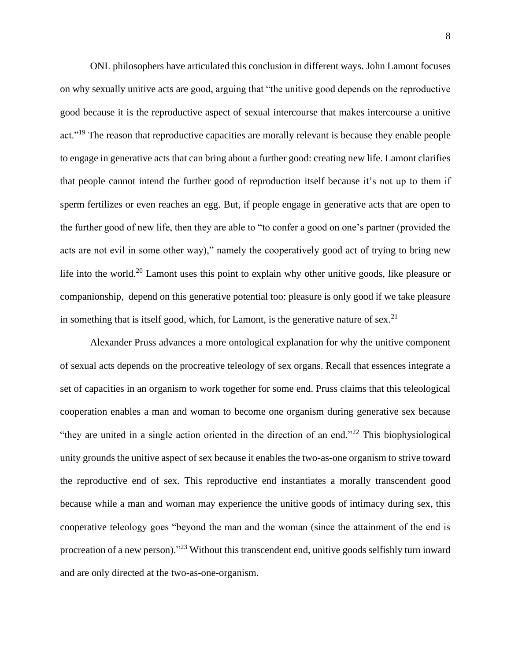ONL philosophers have articulated this conclusion in different ways. John Lamont focuses on why sexually unitive acts are good, arguing that "the unitive good depends on the reproductive good because it is the reproductive aspect of sexual intercourse that makes intercourse a unitive act."<sup>19</sup> The reason that reproductive capacities are morally relevant is because they enable people to engage in generative acts that can bring about a further good: creating new life. Lamont clarifies that people cannot intend the further good of reproduction itself because it's not up to them if sperm fertilizes or even reaches an egg. But, if people engage in generative acts that are open to the further good of new life, then they are able to "to confer a good on one's partner (provided the acts are not evil in some other way)," namely the cooperatively good act of trying to bring new life into the world.<sup>20</sup> Lamont uses this point to explain why other unitive goods, like pleasure or companionship, depend on this generative potential too: pleasure is only good if we take pleasure in something that is itself good, which, for Lamont, is the generative nature of sex.<sup>21</sup>

Alexander Pruss advances a more ontological explanation for why the unitive component of sexual acts depends on the procreative teleology of sex organs. Recall that essences integrate a set of capacities in an organism to work together for some end. Pruss claims that this teleological cooperation enables a man and woman to become one organism during generative sex because "they are united in a single action oriented in the direction of an end."<sup>22</sup> This biophysiological unity grounds the unitive aspect of sex because it enables the two-as-one organism to strive toward the reproductive end of sex. This reproductive end instantiates a morally transcendent good because while a man and woman may experience the unitive goods of intimacy during sex, this cooperative teleology goes "beyond the man and the woman (since the attainment of the end is procreation of a new person)."<sup>23</sup> Without this transcendent end, unitive goods selfishly turn inward and are only directed at the two-as-one-organism.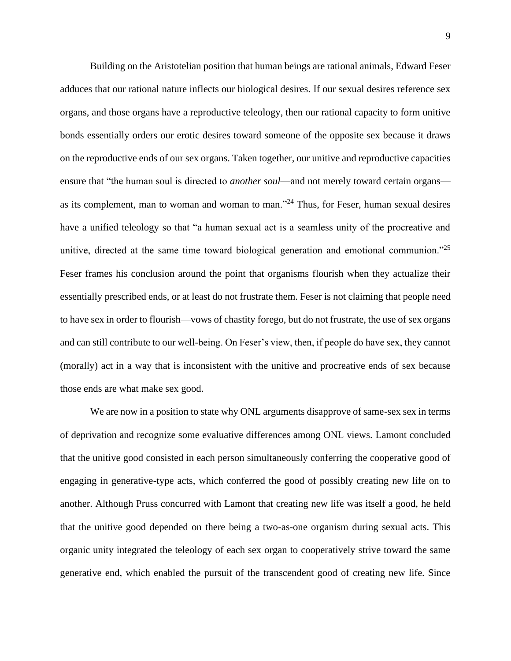Building on the Aristotelian position that human beings are rational animals, Edward Feser adduces that our rational nature inflects our biological desires. If our sexual desires reference sex organs, and those organs have a reproductive teleology, then our rational capacity to form unitive bonds essentially orders our erotic desires toward someone of the opposite sex because it draws on the reproductive ends of our sex organs. Taken together, our unitive and reproductive capacities ensure that "the human soul is directed to *another soul*—and not merely toward certain organs as its complement, man to woman and woman to man."<sup>24</sup> Thus, for Feser, human sexual desires have a unified teleology so that "a human sexual act is a seamless unity of the procreative and unitive, directed at the same time toward biological generation and emotional communion."<sup>25</sup> Feser frames his conclusion around the point that organisms flourish when they actualize their essentially prescribed ends, or at least do not frustrate them. Feser is not claiming that people need to have sex in order to flourish—vows of chastity forego, but do not frustrate, the use of sex organs and can still contribute to our well-being. On Feser's view, then, if people do have sex, they cannot (morally) act in a way that is inconsistent with the unitive and procreative ends of sex because those ends are what make sex good.

We are now in a position to state why ONL arguments disapprove of same-sex sex in terms of deprivation and recognize some evaluative differences among ONL views. Lamont concluded that the unitive good consisted in each person simultaneously conferring the cooperative good of engaging in generative-type acts, which conferred the good of possibly creating new life on to another. Although Pruss concurred with Lamont that creating new life was itself a good, he held that the unitive good depended on there being a two-as-one organism during sexual acts. This organic unity integrated the teleology of each sex organ to cooperatively strive toward the same generative end, which enabled the pursuit of the transcendent good of creating new life. Since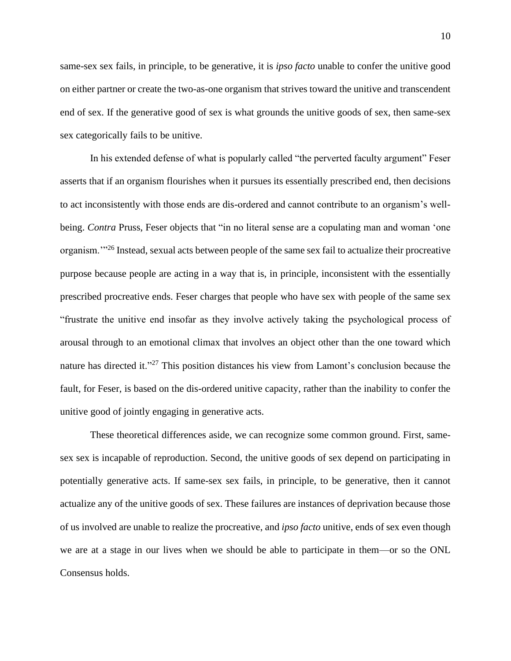same-sex sex fails, in principle, to be generative, it is *ipso facto* unable to confer the unitive good on either partner or create the two-as-one organism that strives toward the unitive and transcendent end of sex. If the generative good of sex is what grounds the unitive goods of sex, then same-sex sex categorically fails to be unitive.

In his extended defense of what is popularly called "the perverted faculty argument" Feser asserts that if an organism flourishes when it pursues its essentially prescribed end, then decisions to act inconsistently with those ends are dis-ordered and cannot contribute to an organism's wellbeing. *Contra* Pruss, Feser objects that "in no literal sense are a copulating man and woman 'one organism.'"<sup>26</sup> Instead, sexual acts between people of the same sex fail to actualize their procreative purpose because people are acting in a way that is, in principle, inconsistent with the essentially prescribed procreative ends. Feser charges that people who have sex with people of the same sex "frustrate the unitive end insofar as they involve actively taking the psychological process of arousal through to an emotional climax that involves an object other than the one toward which nature has directed it."<sup>27</sup> This position distances his view from Lamont's conclusion because the fault, for Feser, is based on the dis-ordered unitive capacity, rather than the inability to confer the unitive good of jointly engaging in generative acts.

These theoretical differences aside, we can recognize some common ground. First, samesex sex is incapable of reproduction. Second, the unitive goods of sex depend on participating in potentially generative acts. If same-sex sex fails, in principle, to be generative, then it cannot actualize any of the unitive goods of sex. These failures are instances of deprivation because those of us involved are unable to realize the procreative, and *ipso facto* unitive, ends of sex even though we are at a stage in our lives when we should be able to participate in them—or so the ONL Consensus holds.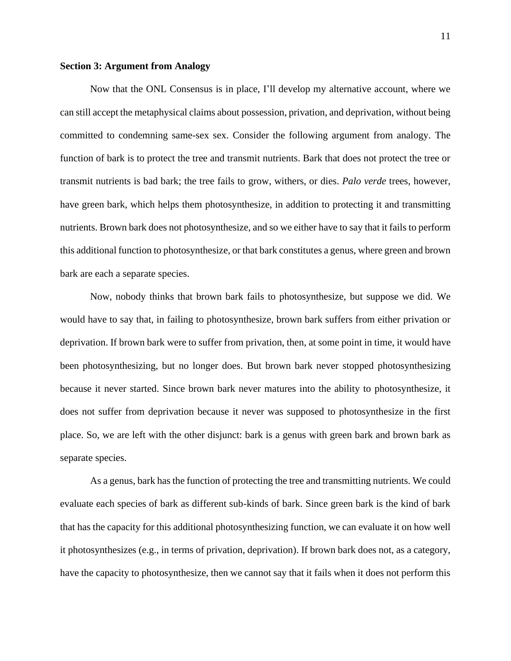# **Section 3: Argument from Analogy**

Now that the ONL Consensus is in place, I'll develop my alternative account, where we can still accept the metaphysical claims about possession, privation, and deprivation, without being committed to condemning same-sex sex. Consider the following argument from analogy. The function of bark is to protect the tree and transmit nutrients. Bark that does not protect the tree or transmit nutrients is bad bark; the tree fails to grow, withers, or dies. *Palo verde* trees, however, have green bark, which helps them photosynthesize, in addition to protecting it and transmitting nutrients. Brown bark does not photosynthesize, and so we either have to say that it fails to perform this additional function to photosynthesize, or that bark constitutes a genus, where green and brown bark are each a separate species.

Now, nobody thinks that brown bark fails to photosynthesize, but suppose we did. We would have to say that, in failing to photosynthesize, brown bark suffers from either privation or deprivation. If brown bark were to suffer from privation, then, at some point in time, it would have been photosynthesizing, but no longer does. But brown bark never stopped photosynthesizing because it never started. Since brown bark never matures into the ability to photosynthesize, it does not suffer from deprivation because it never was supposed to photosynthesize in the first place. So, we are left with the other disjunct: bark is a genus with green bark and brown bark as separate species.

As a genus, bark has the function of protecting the tree and transmitting nutrients. We could evaluate each species of bark as different sub-kinds of bark. Since green bark is the kind of bark that has the capacity for this additional photosynthesizing function, we can evaluate it on how well it photosynthesizes (e.g., in terms of privation, deprivation). If brown bark does not, as a category, have the capacity to photosynthesize, then we cannot say that it fails when it does not perform this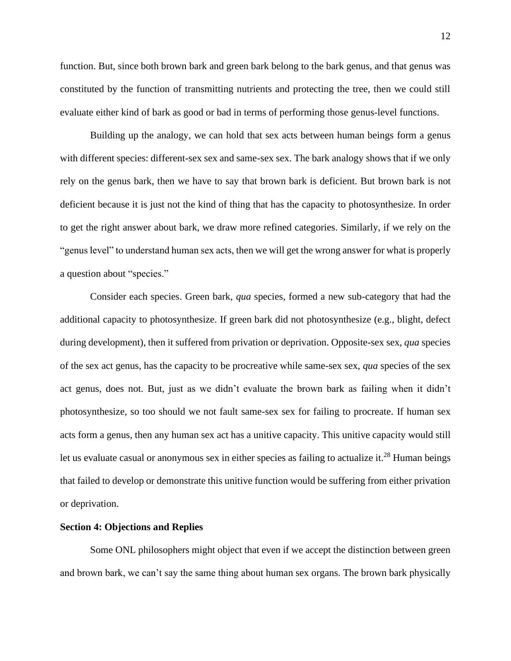function. But, since both brown bark and green bark belong to the bark genus, and that genus was constituted by the function of transmitting nutrients and protecting the tree, then we could still evaluate either kind of bark as good or bad in terms of performing those genus-level functions.

Building up the analogy, we can hold that sex acts between human beings form a genus with different species: different-sex sex and same-sex sex. The bark analogy shows that if we only rely on the genus bark, then we have to say that brown bark is deficient. But brown bark is not deficient because it is just not the kind of thing that has the capacity to photosynthesize. In order to get the right answer about bark, we draw more refined categories. Similarly, if we rely on the "genus level" to understand human sex acts, then we will get the wrong answer for what is properly a question about "species."

Consider each species. Green bark, *qua* species, formed a new sub-category that had the additional capacity to photosynthesize. If green bark did not photosynthesize (e.g., blight, defect during development), then it suffered from privation or deprivation. Opposite-sex sex, *qua* species of the sex act genus, has the capacity to be procreative while same-sex sex, *qua* species of the sex act genus, does not. But, just as we didn't evaluate the brown bark as failing when it didn't photosynthesize, so too should we not fault same-sex sex for failing to procreate. If human sex acts form a genus, then any human sex act has a unitive capacity. This unitive capacity would still let us evaluate casual or anonymous sex in either species as failing to actualize it.<sup>28</sup> Human beings that failed to develop or demonstrate this unitive function would be suffering from either privation or deprivation.

#### **Section 4: Objections and Replies**

Some ONL philosophers might object that even if we accept the distinction between green and brown bark, we can't say the same thing about human sex organs. The brown bark physically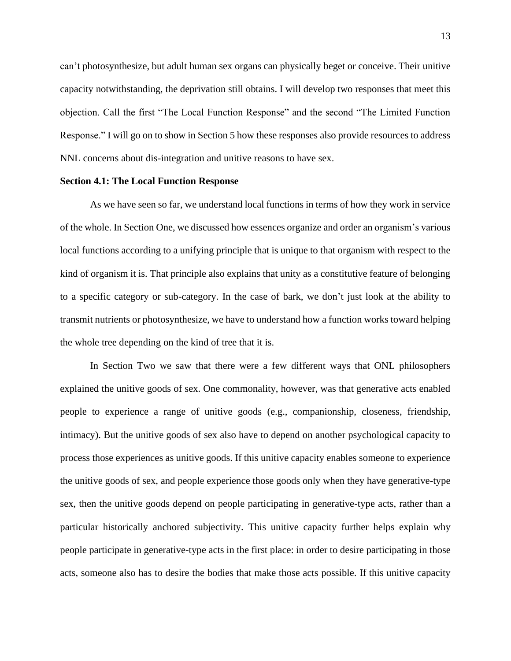can't photosynthesize, but adult human sex organs can physically beget or conceive. Their unitive capacity notwithstanding, the deprivation still obtains. I will develop two responses that meet this objection. Call the first "The Local Function Response" and the second "The Limited Function Response." I will go on to show in Section 5 how these responses also provide resources to address NNL concerns about dis-integration and unitive reasons to have sex.

## **Section 4.1: The Local Function Response**

As we have seen so far, we understand local functions in terms of how they work in service of the whole. In Section One, we discussed how essences organize and order an organism's various local functions according to a unifying principle that is unique to that organism with respect to the kind of organism it is. That principle also explains that unity as a constitutive feature of belonging to a specific category or sub-category. In the case of bark, we don't just look at the ability to transmit nutrients or photosynthesize, we have to understand how a function works toward helping the whole tree depending on the kind of tree that it is.

In Section Two we saw that there were a few different ways that ONL philosophers explained the unitive goods of sex. One commonality, however, was that generative acts enabled people to experience a range of unitive goods (e.g., companionship, closeness, friendship, intimacy). But the unitive goods of sex also have to depend on another psychological capacity to process those experiences as unitive goods. If this unitive capacity enables someone to experience the unitive goods of sex, and people experience those goods only when they have generative-type sex, then the unitive goods depend on people participating in generative-type acts, rather than a particular historically anchored subjectivity. This unitive capacity further helps explain why people participate in generative-type acts in the first place: in order to desire participating in those acts, someone also has to desire the bodies that make those acts possible. If this unitive capacity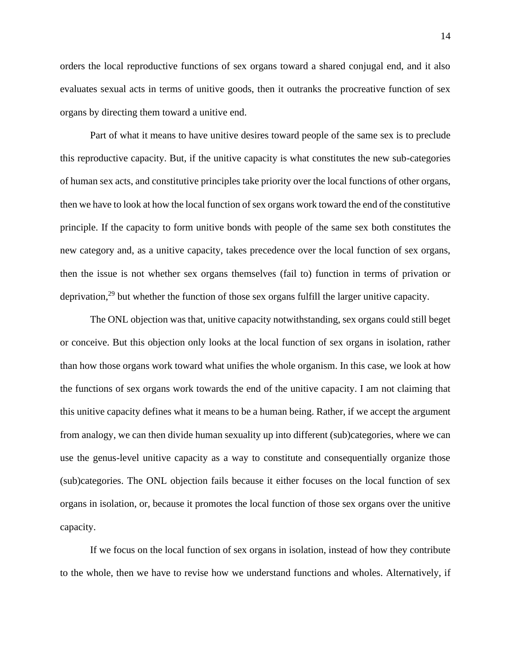orders the local reproductive functions of sex organs toward a shared conjugal end, and it also evaluates sexual acts in terms of unitive goods, then it outranks the procreative function of sex organs by directing them toward a unitive end.

Part of what it means to have unitive desires toward people of the same sex is to preclude this reproductive capacity. But, if the unitive capacity is what constitutes the new sub-categories of human sex acts, and constitutive principles take priority over the local functions of other organs, then we have to look at how the local function of sex organs work toward the end of the constitutive principle. If the capacity to form unitive bonds with people of the same sex both constitutes the new category and, as a unitive capacity, takes precedence over the local function of sex organs, then the issue is not whether sex organs themselves (fail to) function in terms of privation or deprivation,<sup>29</sup> but whether the function of those sex organs fulfill the larger unitive capacity.

The ONL objection was that, unitive capacity notwithstanding, sex organs could still beget or conceive. But this objection only looks at the local function of sex organs in isolation, rather than how those organs work toward what unifies the whole organism. In this case, we look at how the functions of sex organs work towards the end of the unitive capacity. I am not claiming that this unitive capacity defines what it means to be a human being. Rather, if we accept the argument from analogy, we can then divide human sexuality up into different (sub)categories, where we can use the genus-level unitive capacity as a way to constitute and consequentially organize those (sub)categories. The ONL objection fails because it either focuses on the local function of sex organs in isolation, or, because it promotes the local function of those sex organs over the unitive capacity.

If we focus on the local function of sex organs in isolation, instead of how they contribute to the whole, then we have to revise how we understand functions and wholes. Alternatively, if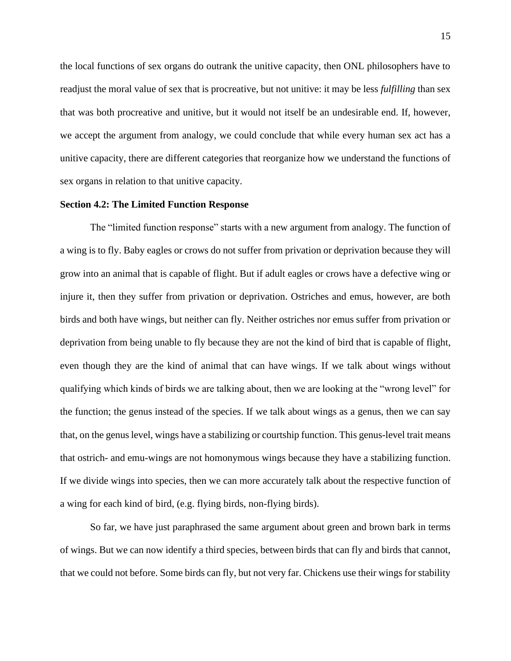the local functions of sex organs do outrank the unitive capacity, then ONL philosophers have to readjust the moral value of sex that is procreative, but not unitive: it may be less *fulfilling* than sex that was both procreative and unitive, but it would not itself be an undesirable end. If, however, we accept the argument from analogy, we could conclude that while every human sex act has a unitive capacity, there are different categories that reorganize how we understand the functions of sex organs in relation to that unitive capacity.

## **Section 4.2: The Limited Function Response**

The "limited function response" starts with a new argument from analogy. The function of a wing is to fly. Baby eagles or crows do not suffer from privation or deprivation because they will grow into an animal that is capable of flight. But if adult eagles or crows have a defective wing or injure it, then they suffer from privation or deprivation. Ostriches and emus, however, are both birds and both have wings, but neither can fly. Neither ostriches nor emus suffer from privation or deprivation from being unable to fly because they are not the kind of bird that is capable of flight, even though they are the kind of animal that can have wings. If we talk about wings without qualifying which kinds of birds we are talking about, then we are looking at the "wrong level" for the function; the genus instead of the species. If we talk about wings as a genus, then we can say that, on the genus level, wings have a stabilizing or courtship function. This genus-level trait means that ostrich- and emu-wings are not homonymous wings because they have a stabilizing function. If we divide wings into species, then we can more accurately talk about the respective function of a wing for each kind of bird, (e.g. flying birds, non-flying birds).

So far, we have just paraphrased the same argument about green and brown bark in terms of wings. But we can now identify a third species, between birds that can fly and birds that cannot, that we could not before. Some birds can fly, but not very far. Chickens use their wings for stability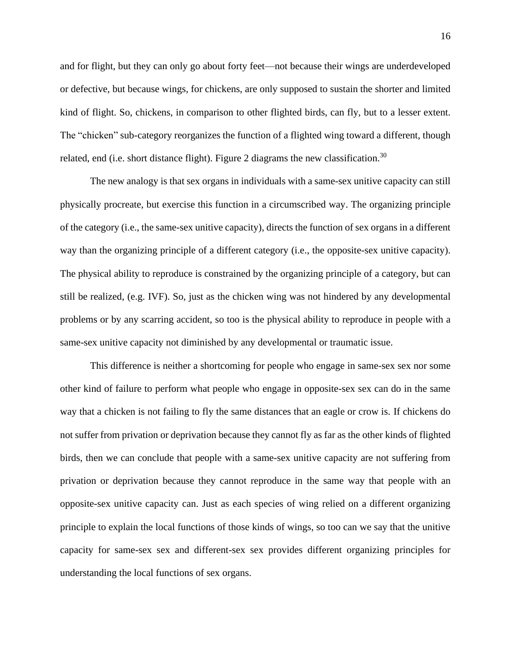and for flight, but they can only go about forty feet—not because their wings are underdeveloped or defective, but because wings, for chickens, are only supposed to sustain the shorter and limited kind of flight. So, chickens, in comparison to other flighted birds, can fly, but to a lesser extent. The "chicken" sub-category reorganizes the function of a flighted wing toward a different, though related, end (i.e. short distance flight). Figure 2 diagrams the new classification.<sup>30</sup>

The new analogy is that sex organs in individuals with a same-sex unitive capacity can still physically procreate, but exercise this function in a circumscribed way. The organizing principle of the category (i.e., the same-sex unitive capacity), directs the function of sex organs in a different way than the organizing principle of a different category (i.e., the opposite-sex unitive capacity). The physical ability to reproduce is constrained by the organizing principle of a category, but can still be realized, (e.g. IVF). So, just as the chicken wing was not hindered by any developmental problems or by any scarring accident, so too is the physical ability to reproduce in people with a same-sex unitive capacity not diminished by any developmental or traumatic issue.

This difference is neither a shortcoming for people who engage in same-sex sex nor some other kind of failure to perform what people who engage in opposite-sex sex can do in the same way that a chicken is not failing to fly the same distances that an eagle or crow is. If chickens do not suffer from privation or deprivation because they cannot fly as far as the other kinds of flighted birds, then we can conclude that people with a same-sex unitive capacity are not suffering from privation or deprivation because they cannot reproduce in the same way that people with an opposite-sex unitive capacity can. Just as each species of wing relied on a different organizing principle to explain the local functions of those kinds of wings, so too can we say that the unitive capacity for same-sex sex and different-sex sex provides different organizing principles for understanding the local functions of sex organs.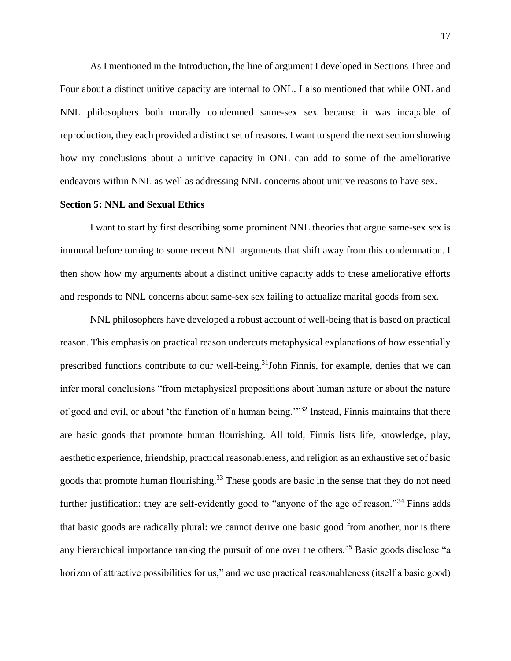As I mentioned in the Introduction, the line of argument I developed in Sections Three and Four about a distinct unitive capacity are internal to ONL. I also mentioned that while ONL and NNL philosophers both morally condemned same-sex sex because it was incapable of reproduction, they each provided a distinct set of reasons. I want to spend the next section showing how my conclusions about a unitive capacity in ONL can add to some of the ameliorative endeavors within NNL as well as addressing NNL concerns about unitive reasons to have sex.

### **Section 5: NNL and Sexual Ethics**

I want to start by first describing some prominent NNL theories that argue same-sex sex is immoral before turning to some recent NNL arguments that shift away from this condemnation. I then show how my arguments about a distinct unitive capacity adds to these ameliorative efforts and responds to NNL concerns about same-sex sex failing to actualize marital goods from sex.

NNL philosophers have developed a robust account of well-being that is based on practical reason. This emphasis on practical reason undercuts metaphysical explanations of how essentially prescribed functions contribute to our well-being.<sup>31</sup>John Finnis, for example, denies that we can infer moral conclusions "from metaphysical propositions about human nature or about the nature of good and evil, or about 'the function of a human being.'"<sup>32</sup> Instead, Finnis maintains that there are basic goods that promote human flourishing. All told, Finnis lists life, knowledge, play, aesthetic experience, friendship, practical reasonableness, and religion as an exhaustive set of basic goods that promote human flourishing.<sup>33</sup> These goods are basic in the sense that they do not need further justification: they are self-evidently good to "anyone of the age of reason."<sup>34</sup> Finns adds that basic goods are radically plural: we cannot derive one basic good from another, nor is there any hierarchical importance ranking the pursuit of one over the others.<sup>35</sup> Basic goods disclose "a horizon of attractive possibilities for us," and we use practical reasonableness (itself a basic good)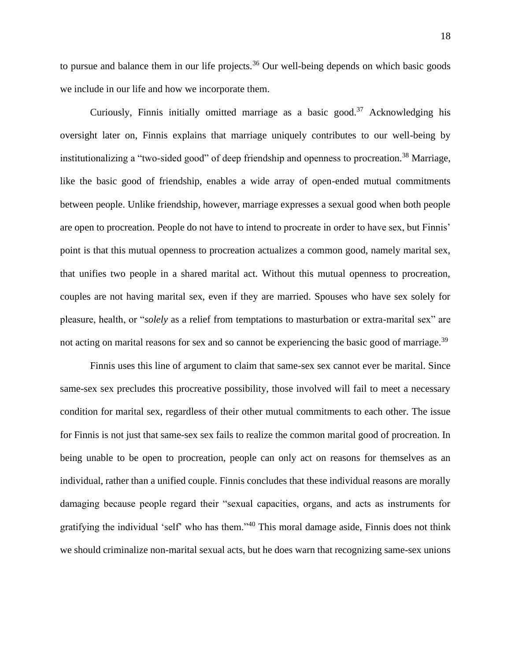to pursue and balance them in our life projects.<sup>36</sup> Our well-being depends on which basic goods we include in our life and how we incorporate them.

Curiously, Finnis initially omitted marriage as a basic good.<sup>37</sup> Acknowledging his oversight later on, Finnis explains that marriage uniquely contributes to our well-being by institutionalizing a "two-sided good" of deep friendship and openness to procreation.<sup>38</sup> Marriage, like the basic good of friendship, enables a wide array of open-ended mutual commitments between people. Unlike friendship, however, marriage expresses a sexual good when both people are open to procreation. People do not have to intend to procreate in order to have sex, but Finnis' point is that this mutual openness to procreation actualizes a common good, namely marital sex, that unifies two people in a shared marital act. Without this mutual openness to procreation, couples are not having marital sex, even if they are married. Spouses who have sex solely for pleasure, health, or "*solely* as a relief from temptations to masturbation or extra-marital sex" are not acting on marital reasons for sex and so cannot be experiencing the basic good of marriage.<sup>39</sup>

Finnis uses this line of argument to claim that same-sex sex cannot ever be marital. Since same-sex sex precludes this procreative possibility, those involved will fail to meet a necessary condition for marital sex, regardless of their other mutual commitments to each other. The issue for Finnis is not just that same-sex sex fails to realize the common marital good of procreation. In being unable to be open to procreation, people can only act on reasons for themselves as an individual, rather than a unified couple. Finnis concludes that these individual reasons are morally damaging because people regard their "sexual capacities, organs, and acts as instruments for gratifying the individual 'self' who has them."<sup>40</sup> This moral damage aside, Finnis does not think we should criminalize non-marital sexual acts, but he does warn that recognizing same-sex unions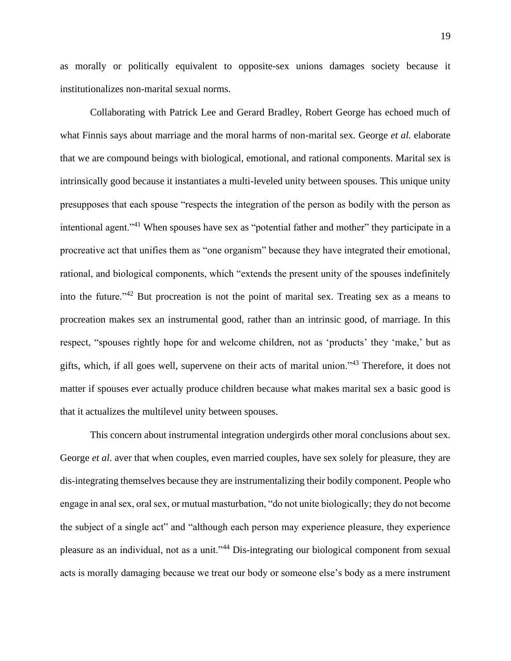as morally or politically equivalent to opposite-sex unions damages society because it institutionalizes non-marital sexual norms.

Collaborating with Patrick Lee and Gerard Bradley, Robert George has echoed much of what Finnis says about marriage and the moral harms of non-marital sex. George *et al.* elaborate that we are compound beings with biological, emotional, and rational components. Marital sex is intrinsically good because it instantiates a multi-leveled unity between spouses. This unique unity presupposes that each spouse "respects the integration of the person as bodily with the person as intentional agent."<sup>41</sup> When spouses have sex as "potential father and mother" they participate in a procreative act that unifies them as "one organism" because they have integrated their emotional, rational, and biological components, which "extends the present unity of the spouses indefinitely into the future."<sup>42</sup> But procreation is not the point of marital sex. Treating sex as a means to procreation makes sex an instrumental good, rather than an intrinsic good, of marriage. In this respect, "spouses rightly hope for and welcome children, not as 'products' they 'make,' but as gifts, which, if all goes well, supervene on their acts of marital union."<sup>43</sup> Therefore, it does not matter if spouses ever actually produce children because what makes marital sex a basic good is that it actualizes the multilevel unity between spouses.

This concern about instrumental integration undergirds other moral conclusions about sex. George *et al.* aver that when couples, even married couples, have sex solely for pleasure, they are dis-integrating themselves because they are instrumentalizing their bodily component. People who engage in anal sex, oral sex, or mutual masturbation, "do not unite biologically; they do not become the subject of a single act" and "although each person may experience pleasure, they experience pleasure as an individual, not as a unit."<sup>44</sup> Dis-integrating our biological component from sexual acts is morally damaging because we treat our body or someone else's body as a mere instrument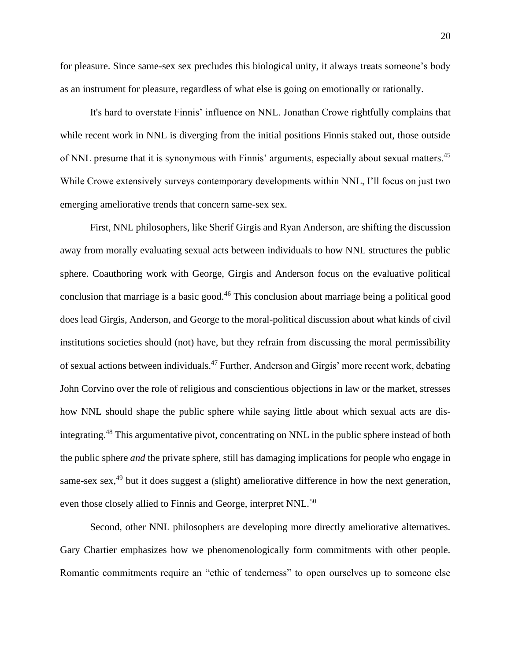for pleasure. Since same-sex sex precludes this biological unity, it always treats someone's body as an instrument for pleasure, regardless of what else is going on emotionally or rationally.

It's hard to overstate Finnis' influence on NNL. Jonathan Crowe rightfully complains that while recent work in NNL is diverging from the initial positions Finnis staked out, those outside of NNL presume that it is synonymous with Finnis' arguments, especially about sexual matters.<sup>45</sup> While Crowe extensively surveys contemporary developments within NNL, I'll focus on just two emerging ameliorative trends that concern same-sex sex.

First, NNL philosophers, like Sherif Girgis and Ryan Anderson, are shifting the discussion away from morally evaluating sexual acts between individuals to how NNL structures the public sphere. Coauthoring work with George, Girgis and Anderson focus on the evaluative political conclusion that marriage is a basic good.<sup>46</sup> This conclusion about marriage being a political good does lead Girgis, Anderson, and George to the moral-political discussion about what kinds of civil institutions societies should (not) have, but they refrain from discussing the moral permissibility of sexual actions between individuals.<sup>47</sup> Further, Anderson and Girgis' more recent work, debating John Corvino over the role of religious and conscientious objections in law or the market, stresses how NNL should shape the public sphere while saying little about which sexual acts are disintegrating.<sup>48</sup> This argumentative pivot, concentrating on NNL in the public sphere instead of both the public sphere *and* the private sphere, still has damaging implications for people who engage in same-sex sex,<sup>49</sup> but it does suggest a (slight) ameliorative difference in how the next generation, even those closely allied to Finnis and George, interpret NNL.<sup>50</sup>

Second, other NNL philosophers are developing more directly ameliorative alternatives. Gary Chartier emphasizes how we phenomenologically form commitments with other people. Romantic commitments require an "ethic of tenderness" to open ourselves up to someone else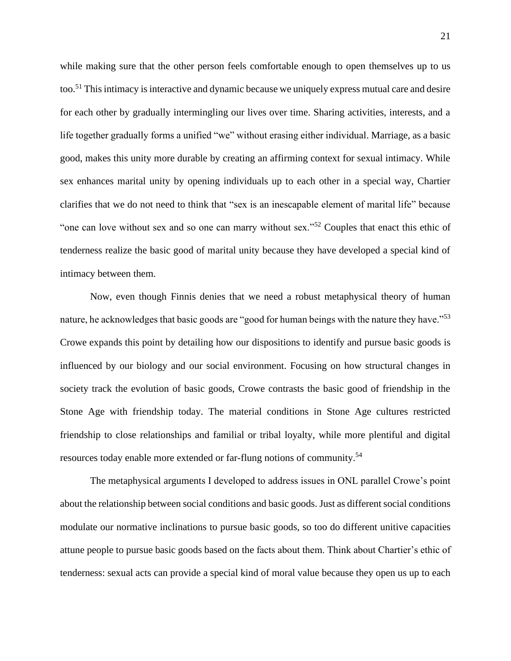while making sure that the other person feels comfortable enough to open themselves up to us too.<sup>51</sup> This intimacy is interactive and dynamic because we uniquely express mutual care and desire for each other by gradually intermingling our lives over time. Sharing activities, interests, and a life together gradually forms a unified "we" without erasing either individual. Marriage, as a basic good, makes this unity more durable by creating an affirming context for sexual intimacy. While sex enhances marital unity by opening individuals up to each other in a special way, Chartier clarifies that we do not need to think that "sex is an inescapable element of marital life" because "one can love without sex and so one can marry without sex."<sup>52</sup> Couples that enact this ethic of tenderness realize the basic good of marital unity because they have developed a special kind of intimacy between them.

Now, even though Finnis denies that we need a robust metaphysical theory of human nature, he acknowledges that basic goods are "good for human beings with the nature they have."<sup>53</sup> Crowe expands this point by detailing how our dispositions to identify and pursue basic goods is influenced by our biology and our social environment. Focusing on how structural changes in society track the evolution of basic goods, Crowe contrasts the basic good of friendship in the Stone Age with friendship today. The material conditions in Stone Age cultures restricted friendship to close relationships and familial or tribal loyalty, while more plentiful and digital resources today enable more extended or far-flung notions of community.<sup>54</sup>

The metaphysical arguments I developed to address issues in ONL parallel Crowe's point about the relationship between social conditions and basic goods. Just as different social conditions modulate our normative inclinations to pursue basic goods, so too do different unitive capacities attune people to pursue basic goods based on the facts about them. Think about Chartier's ethic of tenderness: sexual acts can provide a special kind of moral value because they open us up to each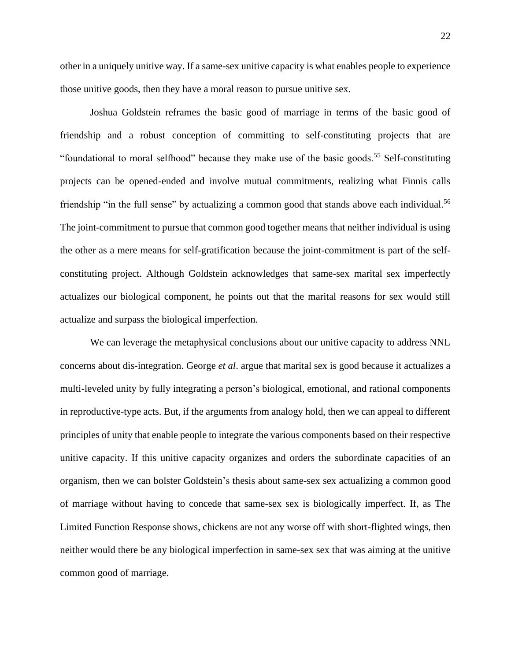other in a uniquely unitive way. If a same-sex unitive capacity is what enables people to experience those unitive goods, then they have a moral reason to pursue unitive sex.

Joshua Goldstein reframes the basic good of marriage in terms of the basic good of friendship and a robust conception of committing to self-constituting projects that are "foundational to moral selfhood" because they make use of the basic goods.<sup>55</sup> Self-constituting projects can be opened-ended and involve mutual commitments, realizing what Finnis calls friendship "in the full sense" by actualizing a common good that stands above each individual.<sup>56</sup> The joint-commitment to pursue that common good together means that neither individual is using the other as a mere means for self-gratification because the joint-commitment is part of the selfconstituting project. Although Goldstein acknowledges that same-sex marital sex imperfectly actualizes our biological component, he points out that the marital reasons for sex would still actualize and surpass the biological imperfection.

We can leverage the metaphysical conclusions about our unitive capacity to address NNL concerns about dis-integration. George *et al*. argue that marital sex is good because it actualizes a multi-leveled unity by fully integrating a person's biological, emotional, and rational components in reproductive-type acts. But, if the arguments from analogy hold, then we can appeal to different principles of unity that enable people to integrate the various components based on their respective unitive capacity. If this unitive capacity organizes and orders the subordinate capacities of an organism, then we can bolster Goldstein's thesis about same-sex sex actualizing a common good of marriage without having to concede that same-sex sex is biologically imperfect. If, as The Limited Function Response shows, chickens are not any worse off with short-flighted wings, then neither would there be any biological imperfection in same-sex sex that was aiming at the unitive common good of marriage.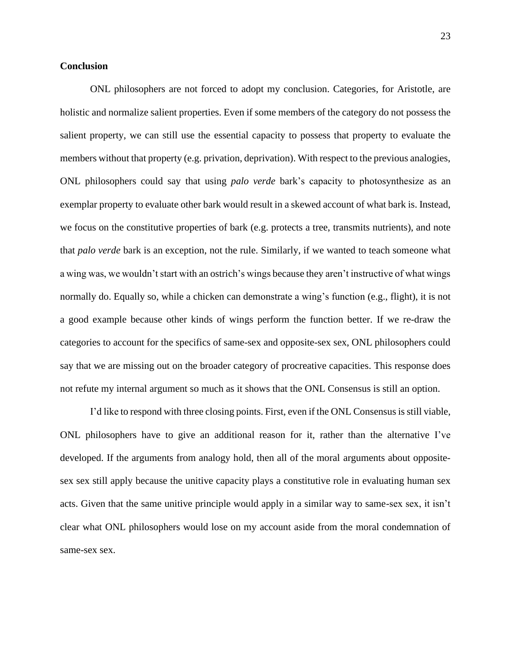# **Conclusion**

ONL philosophers are not forced to adopt my conclusion. Categories, for Aristotle, are holistic and normalize salient properties. Even if some members of the category do not possess the salient property, we can still use the essential capacity to possess that property to evaluate the members without that property (e.g. privation, deprivation). With respect to the previous analogies, ONL philosophers could say that using *palo verde* bark's capacity to photosynthesize as an exemplar property to evaluate other bark would result in a skewed account of what bark is. Instead, we focus on the constitutive properties of bark (e.g. protects a tree, transmits nutrients), and note that *palo verde* bark is an exception, not the rule. Similarly, if we wanted to teach someone what a wing was, we wouldn't start with an ostrich's wings because they aren't instructive of what wings normally do. Equally so, while a chicken can demonstrate a wing's function (e.g., flight), it is not a good example because other kinds of wings perform the function better. If we re-draw the categories to account for the specifics of same-sex and opposite-sex sex, ONL philosophers could say that we are missing out on the broader category of procreative capacities. This response does not refute my internal argument so much as it shows that the ONL Consensus is still an option.

I'd like to respond with three closing points. First, even if the ONL Consensus is still viable, ONL philosophers have to give an additional reason for it, rather than the alternative I've developed. If the arguments from analogy hold, then all of the moral arguments about oppositesex sex still apply because the unitive capacity plays a constitutive role in evaluating human sex acts. Given that the same unitive principle would apply in a similar way to same-sex sex, it isn't clear what ONL philosophers would lose on my account aside from the moral condemnation of same-sex sex.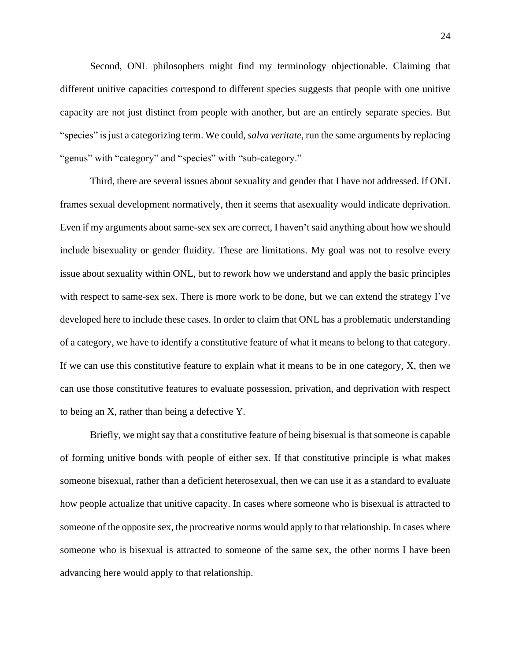Second, ONL philosophers might find my terminology objectionable. Claiming that different unitive capacities correspond to different species suggests that people with one unitive capacity are not just distinct from people with another, but are an entirely separate species. But "species" is just a categorizing term. We could, *salva veritate*, run the same arguments by replacing "genus" with "category" and "species" with "sub-category."

Third, there are several issues about sexuality and gender that I have not addressed. If ONL frames sexual development normatively, then it seems that asexuality would indicate deprivation. Even if my arguments about same-sex sex are correct, I haven't said anything about how we should include bisexuality or gender fluidity. These are limitations. My goal was not to resolve every issue about sexuality within ONL, but to rework how we understand and apply the basic principles with respect to same-sex sex. There is more work to be done, but we can extend the strategy I've developed here to include these cases. In order to claim that ONL has a problematic understanding of a category, we have to identify a constitutive feature of what it means to belong to that category. If we can use this constitutive feature to explain what it means to be in one category, X, then we can use those constitutive features to evaluate possession, privation, and deprivation with respect to being an X, rather than being a defective Y.

Briefly, we might say that a constitutive feature of being bisexual is that someone is capable of forming unitive bonds with people of either sex. If that constitutive principle is what makes someone bisexual, rather than a deficient heterosexual, then we can use it as a standard to evaluate how people actualize that unitive capacity. In cases where someone who is bisexual is attracted to someone of the opposite sex, the procreative norms would apply to that relationship. In cases where someone who is bisexual is attracted to someone of the same sex, the other norms I have been advancing here would apply to that relationship.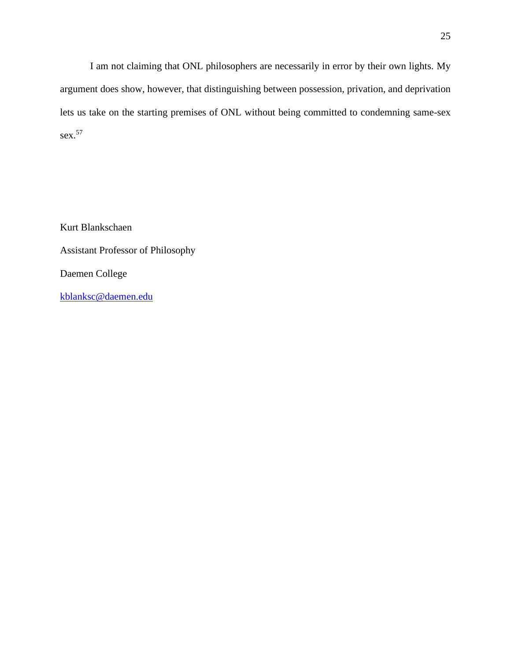I am not claiming that ONL philosophers are necessarily in error by their own lights. My argument does show, however, that distinguishing between possession, privation, and deprivation lets us take on the starting premises of ONL without being committed to condemning same-sex sex.<sup>57</sup>

Kurt Blankschaen Assistant Professor of Philosophy Daemen College [kblanksc@daemen.edu](mailto:kblanksc@daemen.edu)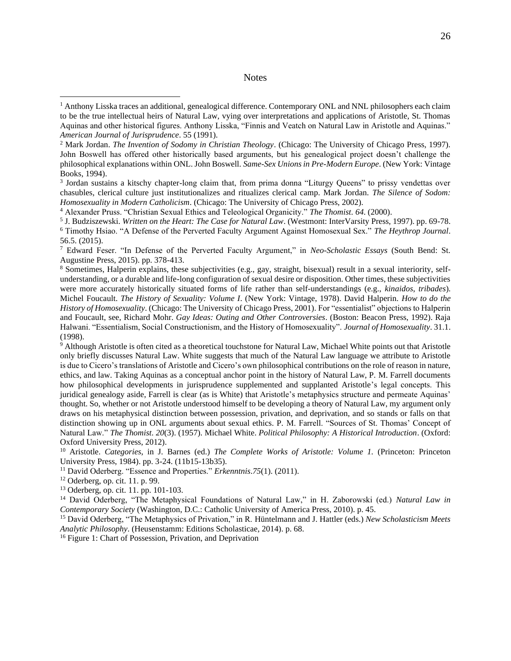# **Notes**

<sup>9</sup> Although Aristotle is often cited as a theoretical touchstone for Natural Law, Michael White points out that Aristotle only briefly discusses Natural Law. White suggests that much of the Natural Law language we attribute to Aristotle is due to Cicero's translations of Aristotle and Cicero's own philosophical contributions on the role of reason in nature, ethics, and law. Taking Aquinas as a conceptual anchor point in the history of Natural Law, P. M. Farrell documents how philosophical developments in jurisprudence supplemented and supplanted Aristotle's legal concepts. This juridical genealogy aside, Farrell is clear (as is White) that Aristotle's metaphysics structure and permeate Aquinas' thought. So, whether or not Aristotle understood himself to be developing a theory of Natural Law, my argument only draws on his metaphysical distinction between possession, privation, and deprivation, and so stands or falls on that distinction showing up in ONL arguments about sexual ethics. P. M. Farrell. "Sources of St. Thomas' Concept of Natural Law." *The Thomist*. *20*(3). (1957). Michael White. *Political Philosophy: A Historical Introduction*. (Oxford: Oxford University Press, 2012).

<sup>10</sup> Aristotle. *Categories*, in J. Barnes (ed.) *The Complete Works of Aristotle: Volume 1.* (Princeton: Princeton University Press, 1984). pp. 3-24. (11b15-13b35).

- <sup>11</sup> David Oderberg. "Essence and Properties." *Erkenntnis*.*75*(1). (2011).
- <sup>12</sup> Oderberg, op. cit. 11. p. 99.
- <sup>13</sup> Oderberg, op. cit. 11. pp. 101-103.

<sup>14</sup> David Oderberg, "The Metaphysical Foundations of Natural Law," in H. Zaborowski (ed.) *Natural Law in Contemporary Society* (Washington, D.C.: Catholic University of America Press, 2010). p. 45.

<sup>15</sup> David Oderberg, "The Metaphysics of Privation," in R. Hüntelmann and J. Hattler (eds.) *New Scholasticism Meets Analytic Philosophy*. (Heusenstamm: Editions Scholasticae, 2014). p. 68.

<sup>16</sup> Figure 1: Chart of Possession, Privation, and Deprivation

<sup>&</sup>lt;sup>1</sup> Anthony Lisska traces an additional, genealogical difference. Contemporary ONL and NNL philosophers each claim to be the true intellectual heirs of Natural Law, vying over interpretations and applications of Aristotle, St. Thomas Aquinas and other historical figures. Anthony Lisska, "Finnis and Veatch on Natural Law in Aristotle and Aquinas." *American Journal of Jurisprudence*. 55 (1991).

<sup>2</sup> Mark Jordan. *The Invention of Sodomy in Christian Theology*. (Chicago: The University of Chicago Press, 1997). John Boswell has offered other historically based arguments, but his genealogical project doesn't challenge the philosophical explanations within ONL. John Boswell. *Same-Sex Unions in Pre-Modern Europe*. (New York: Vintage Books, 1994).

<sup>&</sup>lt;sup>3</sup> Jordan sustains a kitschy chapter-long claim that, from prima donna "Liturgy Queens" to prissy vendettas over chasubles, clerical culture just institutionalizes and ritualizes clerical camp. Mark Jordan. *The Silence of Sodom: Homosexuality in Modern Catholicism*. (Chicago: The University of Chicago Press, 2002).

<sup>4</sup> Alexander Pruss. "Christian Sexual Ethics and Teleological Organicity." *The Thomist*. *64*. (2000).

<sup>5</sup> J. Budziszewski. *Written on the Heart: The Case for Natural Law*. (Westmont: InterVarsity Press, 1997). pp. 69-78. <sup>6</sup> Timothy Hsiao. "A Defense of the Perverted Faculty Argument Against Homosexual Sex." *The Heythrop Journal*. 56.5. (2015).

<sup>7</sup> Edward Feser. "In Defense of the Perverted Faculty Argument," in *Neo-Scholastic Essays* (South Bend: St. Augustine Press, 2015). pp. 378-413.

<sup>8</sup> Sometimes, Halperin explains, these subjectivities (e.g., gay, straight, bisexual) result in a sexual interiority, selfunderstanding, or a durable and life-long configuration of sexual desire or disposition. Other times, these subjectivities were more accurately historically situated forms of life rather than self-understandings (e.g., *kinaidos*, *tribades*). Michel Foucault. *The History of Sexuality: Volume I*. (New York: Vintage, 1978). David Halperin. *How to do the History of Homosexuality*. (Chicago: The University of Chicago Press, 2001). For "essentialist" objections to Halperin and Foucault, see, Richard Mohr. *Gay Ideas: Outing and Other Controversies*. (Boston: Beacon Press, 1992). Raja Halwani. "Essentialism, Social Constructionism, and the History of Homosexuality". *Journal of Homosexuality*. 31.1. (1998).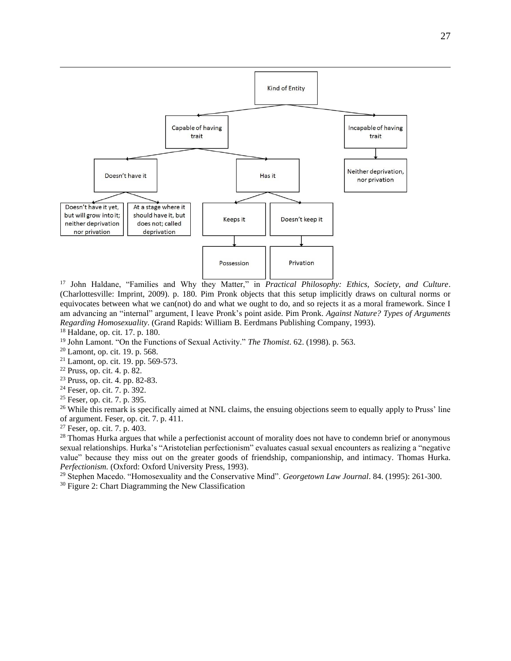

<sup>17</sup> John Haldane, "Families and Why they Matter," in *Practical Philosophy: Ethics, Society, and Culture*. (Charlottesville: Imprint, 2009). p. 180. Pim Pronk objects that this setup implicitly draws on cultural norms or equivocates between what we can(not) do and what we ought to do, and so rejects it as a moral framework. Since I am advancing an "internal" argument, I leave Pronk's point aside. Pim Pronk. *Against Nature? Types of Arguments Regarding Homosexuality*. (Grand Rapids: William B. Eerdmans Publishing Company, 1993).

- <sup>18</sup> Haldane, op. cit. 17. p. 180.
- <sup>19</sup> John Lamont. "On the Functions of Sexual Activity." *The Thomist*. 62. (1998). p. 563.
- <sup>20</sup> Lamont, op. cit. 19. p. 568.
- <sup>21</sup> Lamont, op. cit. 19. pp. 569-573.
- <sup>22</sup> Pruss, op. cit. 4. p. 82.
- <sup>23</sup> Pruss, op. cit. 4. pp. 82-83.
- <sup>24</sup> Feser, op. cit. 7. p. 392.
- <sup>25</sup> Feser, op. cit. 7. p. 395.

<sup>26</sup> While this remark is specifically aimed at NNL claims, the ensuing objections seem to equally apply to Pruss' line of argument. Feser, op. cit. 7. p. 411.

<sup>27</sup> Feser, op. cit. 7. p. 403.

<sup>28</sup> Thomas Hurka argues that while a perfectionist account of morality does not have to condemn brief or anonymous sexual relationships. Hurka's "Aristotelian perfectionism" evaluates casual sexual encounters as realizing a "negative value" because they miss out on the greater goods of friendship, companionship, and intimacy. Thomas Hurka. *Perfectionism.* (Oxford: Oxford University Press, 1993).

<sup>29</sup> Stephen Macedo. "Homosexuality and the Conservative Mind". *Georgetown Law Journal*. 84. (1995): 261-300.

<sup>30</sup> Figure 2: Chart Diagramming the New Classification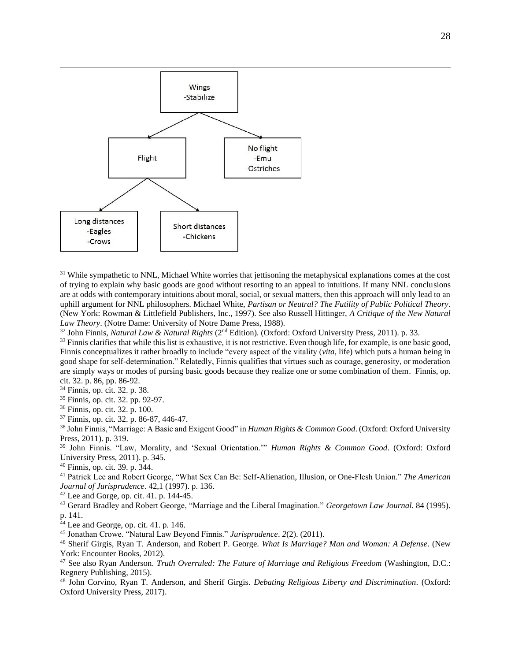

<sup>31</sup> While sympathetic to NNL, Michael White worries that jettisoning the metaphysical explanations comes at the cost of trying to explain why basic goods are good without resorting to an appeal to intuitions. If many NNL conclusions are at odds with contemporary intuitions about moral, social, or sexual matters, then this approach will only lead to an uphill argument for NNL philosophers. Michael White, *Partisan or Neutral? The Futility of Public Political Theory*. (New York: Rowman & Littlefield Publishers, Inc., 1997). See also Russell Hittinger, *A Critique of the New Natural Law Theory*. (Notre Dame: University of Notre Dame Press, 1988).

<sup>32</sup> John Finnis, *Natural Law & Natural Rights* (2nd Edition). (Oxford: Oxford University Press, 2011). p. 33.

 $33$  Finnis clarifies that while this list is exhaustive, it is not restrictive. Even though life, for example, is one basic good, Finnis conceptualizes it rather broadly to include "every aspect of the vitality (*vita*, life) which puts a human being in good shape for self-determination." Relatedly, Finnis qualifies that virtues such as courage, generosity, or moderation are simply ways or modes of pursing basic goods because they realize one or some combination of them. Finnis, op. cit. 32. p. 86, pp. 86-92.

<sup>34</sup> Finnis, op. cit. 32. p. 38.

<sup>35</sup> Finnis, op. cit. 32. pp. 92-97.

<sup>36</sup> Finnis, op. cit. 32. p. 100.

<sup>37</sup> Finnis, op. cit. 32. p. 86-87, 446-47.

<sup>38</sup> John Finnis, "Marriage: A Basic and Exigent Good" in *Human Rights & Common Good*. (Oxford: Oxford University Press, 2011). p. 319.

<sup>39</sup> John Finnis. "Law, Morality, and 'Sexual Orientation.'" *Human Rights & Common Good*. (Oxford: Oxford University Press, 2011). p. 345.

<sup>40</sup> Finnis, op. cit. 39. p. 344.

<sup>41</sup> Patrick Lee and Robert George, "What Sex Can Be: Self-Alienation, Illusion, or One-Flesh Union." *The American Journal of Jurisprudence*. 42,1 (1997). p. 136.

 $42$  Lee and Gorge, op. cit. 41. p. 144-45.

<sup>43</sup> Gerard Bradley and Robert George, "Marriage and the Liberal Imagination." *Georgetown Law Journal*. 84 (1995). p. 141.

<sup>44</sup> Lee and George, op. cit. 41. p. 146.

<sup>45</sup> Jonathan Crowe. "Natural Law Beyond Finnis." *Jurisprudence*. *2*(2). (2011).

<sup>46</sup> Sherif Girgis, Ryan T. Anderson, and Robert P. George. *What Is Marriage? Man and Woman: A Defense*. (New York: Encounter Books, 2012).

<sup>47</sup> See also Ryan Anderson. *Truth Overruled: The Future of Marriage and Religious Freedom* (Washington, D.C.: Regnery Publishing, 2015).

<sup>48</sup> John Corvino, Ryan T. Anderson, and Sherif Girgis. *Debating Religious Liberty and Discrimination*. (Oxford: Oxford University Press, 2017).